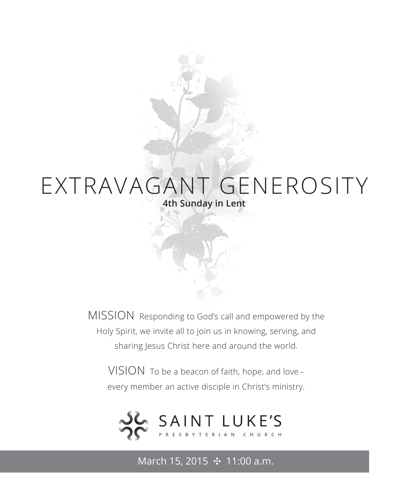# EXTRAVAGANT GENEROSITY **4th Sunday in Lent**

MISSION Responding to God's call and empowered by the Holy Spirit, we invite all to join us in knowing, serving, and sharing Jesus Christ here and around the world.

VISION To be a beacon of faith, hope, and love – every member an active disciple in Christ's ministry.



March 15, 2015 **⊹** 11:00 a.m.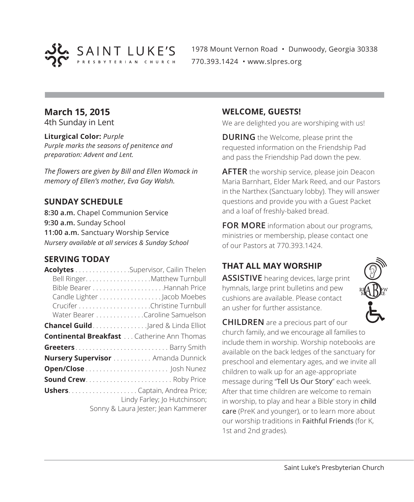

1978 Mount Vernon Road • Dunwoody, Georgia 30338 770.393.1424 • www.slpres.org

## **March 15, 2015**

4th Sunday in Lent

#### **Liturgical Color:** *Purple*

*Purple marks the seasons of penitence and preparation: Advent and Lent.*

*The flowers are given by Bill and Ellen Womack in memory of Ellen's mother, Eva Gay Walsh.*

## **SUNDAY SCHEDULE**

**8:30 a.m.** Chapel Communion Service **9:30 a.m.** Sunday School **11:00 a.m.** Sanctuary Worship Service *Nursery available at all services & Sunday School*

#### **SERVING TODAY**

| Acolytes Supervisor, Cailin Thelen                |                                     |
|---------------------------------------------------|-------------------------------------|
|                                                   | Bell Ringer. Matthew Turnbull       |
|                                                   |                                     |
|                                                   | Candle Lighter Jacob Moebes         |
|                                                   |                                     |
|                                                   | Water Bearer Caroline Samuelson     |
| <b>Chancel Guild</b> Jared & Linda Elliot         |                                     |
| <b>Continental Breakfast</b> Catherine Ann Thomas |                                     |
| <b>Greeters</b> Barry Smith                       |                                     |
| <b>Nursery Supervisor</b> Amanda Dunnick          |                                     |
|                                                   |                                     |
| <b>Sound Crew Roby Price</b>                      |                                     |
|                                                   |                                     |
|                                                   | Lindy Farley; Jo Hutchinson;        |
|                                                   | Sonny & Laura Jester; Jean Kammerer |

#### **WELCOME, GUESTS!**

We are delighted you are worshiping with us!

**DURING** the Welcome, please print the requested information on the Friendship Pad and pass the Friendship Pad down the pew.

**AFTER** the worship service, please join Deacon Maria Barnhart, Elder Mark Reed, and our Pastors in the Narthex (Sanctuary lobby). They will answer questions and provide you with a Guest Packet and a loaf of freshly-baked bread.

**FOR MORE** information about our programs, ministries or membership, please contact one of our Pastors at 770.393.1424.

# **THAT ALL MAY WORSHIP**

**ASSISTIVE** hearing devices, large print hymnals, large print bulletins and pew cushions are available. Please contact an usher for further assistance.

**CHILDREN** are a precious part of our church family, and we encourage all families to include them in worship. Worship notebooks are available on the back ledges of the sanctuary for preschool and elementary ages, and we invite all children to walk up for an age-appropriate message during "Tell Us Our Story" each week. After that time children are welcome to remain in worship, to play and hear a Bible story in child care (PreK and younger), or to learn more about our worship traditions in Faithful Friends (for K, 1st and 2nd grades).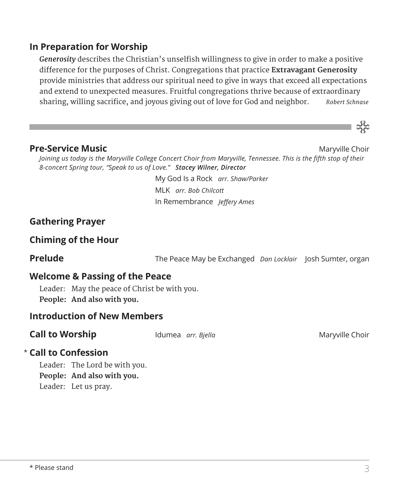## **In Preparation for Worship**

*Generosity* describes the Christian's unselfish willingness to give in order to make a positive difference for the purposes of Christ. Congregations that practice **Extravagant Generosity** provide ministries that address our spiritual need to give in ways that exceed all expectations and extend to unexpected measures. Fruitful congregations thrive because of extraordinary sharing, willing sacrifice, and joyous giving out of love for God and neighbor. *Robert Schnase*



#### **Pre-Service Music** Material Choir **Channel Choir Maryville Choir** Maryville Choir

*Joining us today is the Maryville College Concert Choir from Maryville, Tennessee. This is the fifth stop of their 8-concert Spring tour, "Speak to us of Love." Stacey Wilner, Director*

> My God Is a Rock *arr. Shaw/Parker* MLK *arr. Bob Chilcott* In Remembrance *Jeffery Ames*

## **Gathering Prayer**

#### **Chiming of the Hour**

**Prelude** The Peace May be Exchanged *Dan Locklair* Josh Sumter, organ

#### **Welcome & Passing of the Peace**

Leader: May the peace of Christ be with you. **People: And also with you.**

#### **Introduction of New Members**

**Call to Worship IDUMEA** *arr. Bjella* **Maryon Maryville Choir** 

## **Call to Confession**  \*

Leader: The Lord be with you. **People: And also with you.** Leader: Let us pray.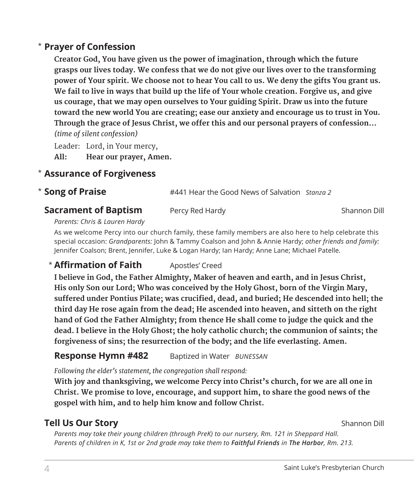# **Prayer of Confession**  \*

 **Creator God, You have given us the power of imagination, through which the future grasps our lives today. We confess that we do not give our lives over to the transforming power of Your spirit. We choose not to hear You call to us. We deny the gifts You grant us. We fail to live in ways that build up the life of Your whole creation. Forgive us, and give us courage, that we may open ourselves to Your guiding Spirit. Draw us into the future toward the new world You are creating; ease our anxiety and encourage us to trust in You. Through the grace of Jesus Christ, we offer this and our personal prayers of confession...**  *(time of silent confession)*

Leader: Lord, in Your mercy, **All: Hear our prayer, Amen.**

## **Assurance of Forgiveness** \*

**Song of Praise** #441 Hear the Good News of Salvation *Stanza 2* \* Song of Praise

#### **Sacrament of Baptism** Percy Red Hardy **Property Shannon Dill** Shannon Dill

#### *Parents: Chris & Lauren Hardy*

 As we welcome Percy into our church family, these family members are also here to help celebrate this special occasion: *Grandparents:* John & Tammy Coalson and John & Annie Hardy; *other friends and family:*  Jennifer Coalson; Brent, Jennifer, Luke & Logan Hardy; Ian Hardy; Anne Lane; Michael Patelle.

# **\* Affirmation of Faith** Apostles' Creed

 **I believe in God, the Father Almighty, Maker of heaven and earth, and in Jesus Christ, His only Son our Lord; Who was conceived by the Holy Ghost, born of the Virgin Mary, suffered under Pontius Pilate; was crucified, dead, and buried; He descended into hell; the third day He rose again from the dead; He ascended into heaven, and sitteth on the right hand of God the Father Almighty; from thence He shall come to judge the quick and the dead. I believe in the Holy Ghost; the holy catholic church; the communion of saints; the forgiveness of sins; the resurrection of the body; and the life everlasting. Amen.**

#### **Response Hymn #482** Baptized in Water *BUNESSAN*

*Following the elder's statement, the congregation shall respond:*

 **With joy and thanksgiving, we welcome Percy into Christ's church, for we are all one in Christ. We promise to love, encourage, and support him, to share the good news of the gospel with him, and to help him know and follow Christ.**

## **Tell Us Our Story** Shannon Dill

*Parents may take their young children (through PreK) to our nursery, Rm. 121 in Sheppard Hall. Parents of children in K, 1st or 2nd grade may take them to Faithful Friends in The Harbor, Rm. 213.*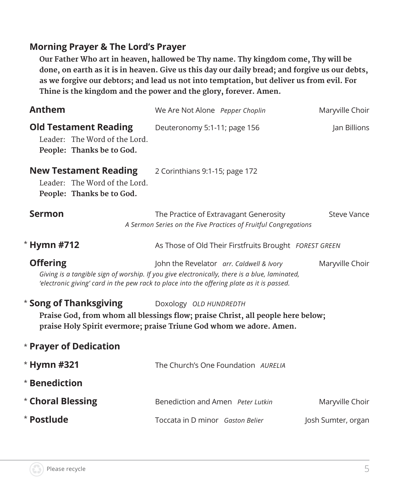# **Morning Prayer & The Lord's Prayer**

 **Our Father Who art in heaven, hallowed be Thy name. Thy kingdom come, Thy will be done, on earth as it is in heaven. Give us this day our daily bread; and forgive us our debts, as we forgive our debtors; and lead us not into temptation, but deliver us from evil. For Thine is the kingdom and the power and the glory, forever. Amen.**

| We Are Not Alone Pepper Choplin                                                                                                                                                                                                         | Maryville Choir    |
|-----------------------------------------------------------------------------------------------------------------------------------------------------------------------------------------------------------------------------------------|--------------------|
| Deuteronomy 5:1-11; page 156                                                                                                                                                                                                            | Jan Billions       |
| 2 Corinthians 9:1-15; page 172                                                                                                                                                                                                          |                    |
| The Practice of Extravagant Generosity<br>A Sermon Series on the Five Practices of Fruitful Congregations                                                                                                                               | <b>Steve Vance</b> |
| As Those of Old Their Firstfruits Brought FOREST GREEN                                                                                                                                                                                  |                    |
| John the Revelator arr. Caldwell & Ivory<br>Giving is a tangible sign of worship. If you give electronically, there is a blue, laminated,<br>'electronic giving' card in the pew rack to place into the offering plate as it is passed. | Maryville Choir    |
| Doxology OLD HUNDREDTH<br>Praise God, from whom all blessings flow; praise Christ, all people here below;<br>praise Holy Spirit evermore; praise Triune God whom we adore. Amen.                                                        |                    |
|                                                                                                                                                                                                                                         |                    |
| The Church's One Foundation AURELIA                                                                                                                                                                                                     |                    |
|                                                                                                                                                                                                                                         |                    |
| Benediction and Amen Peter Lutkin                                                                                                                                                                                                       | Maryville Choir    |
| Toccata in D minor Gaston Belier                                                                                                                                                                                                        | Josh Sumter, organ |
|                                                                                                                                                                                                                                         |                    |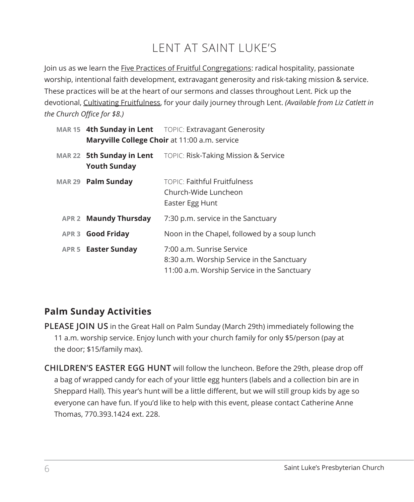# LENT AT SAINT LUKE'S

Join us as we learn the Five Practices of Fruitful Congregations: radical hospitality, passionate worship, intentional faith development, extravagant generosity and risk-taking mission & service. These practices will be at the heart of our sermons and classes throughout Lent. Pick up the devotional, Cultivating Fruitfulness, for your daily journey through Lent. *(Available from Liz Catlett in the Church Office for \$8.)*

|                                                  | MAR 15 4th Sunday in Lent TOPIC: Extravagant Generosity<br>Maryville College Choir at 11:00 a.m. service               |
|--------------------------------------------------|------------------------------------------------------------------------------------------------------------------------|
| MAR 22 5th Sunday in Lent<br><b>Youth Sunday</b> | TOPIC: Risk-Taking Mission & Service                                                                                   |
| MAR 29 Palm Sunday                               | TOPIC: Faithful Fruitfulness<br>Church-Wide Luncheon<br>Easter Egg Hunt                                                |
| <b>APR 2 Maundy Thursday</b>                     | 7:30 p.m. service in the Sanctuary                                                                                     |
| APR 3 <b>Good Friday</b>                         | Noon in the Chapel, followed by a soup lunch                                                                           |
| APR 5 Easter Sunday                              | 7:00 a.m. Sunrise Service<br>8:30 a.m. Worship Service in the Sanctuary<br>11:00 a.m. Worship Service in the Sanctuary |

# **Palm Sunday Activities**

**PLEASE JOIN US** in the Great Hall on Palm Sunday (March 29th) immediately following the 11 a.m. worship service. Enjoy lunch with your church family for only \$5/person (pay at the door; \$15/family max).

**CHILDREN'S EASTER EGG HUNT** will follow the luncheon. Before the 29th, please drop off a bag of wrapped candy for each of your little egg hunters (labels and a collection bin are in Sheppard Hall). This year's hunt will be a little different, but we will still group kids by age so everyone can have fun. If you'd like to help with this event, please contact Catherine Anne Thomas, 770.393.1424 ext. 228.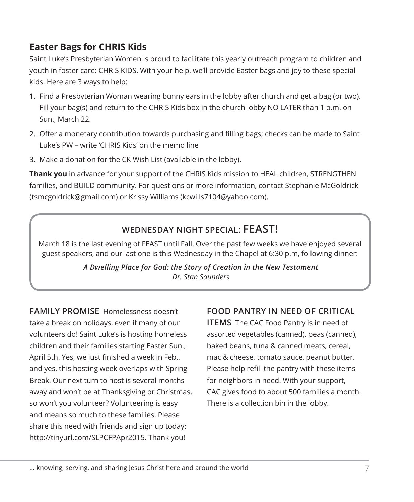# **Easter Bags for CHRIS Kids**

Saint Luke's Presbyterian Women is proud to facilitate this yearly outreach program to children and youth in foster care: CHRIS KIDS. With your help, we'll provide Easter bags and joy to these special kids. Here are 3 ways to help:

- 1. Find a Presbyterian Woman wearing bunny ears in the lobby after church and get a bag (or two). Fill your bag(s) and return to the CHRIS Kids box in the church lobby NO LATER than 1 p.m. on Sun., March 22.
- 2. Offer a monetary contribution towards purchasing and filling bags; checks can be made to Saint Luke's PW – write 'CHRIS Kids' on the memo line
- 3. Make a donation for the CK Wish List (available in the lobby).

**Thank you** in advance for your support of the CHRIS Kids mission to HEAL children, STRENGTHEN families, and BUILD community. For questions or more information, contact Stephanie McGoldrick (tsmcgoldrick@gmail.com) or Krissy Williams (kcwills7104@yahoo.com).

# **WEDNESDAY NIGHT SPECIAL: FEAST!**

March 18 is the last evening of FEAST until Fall. Over the past few weeks we have enjoyed several guest speakers, and our last one is this Wednesday in the Chapel at 6:30 p.m, following dinner:

> *A Dwelling Place for God: the Story of Creation in the New Testament Dr. Stan Saunders*

**FAMILY PROMISE** Homelessness doesn't take a break on holidays, even if many of our volunteers do! Saint Luke's is hosting homeless children and their families starting Easter Sun., April 5th. Yes, we just finished a week in Feb., and yes, this hosting week overlaps with Spring Break. Our next turn to host is several months away and won't be at Thanksgiving or Christmas, so won't you volunteer? Volunteering is easy and means so much to these families. Please share this need with friends and sign up today: http://tinyurl.com/SLPCFPApr2015. Thank you!

# **FOOD PANTRY IN NEED OF CRITICAL**

**ITEMS** The CAC Food Pantry is in need of assorted vegetables (canned), peas (canned), baked beans, tuna & canned meats, cereal, mac & cheese, tomato sauce, peanut butter. Please help refill the pantry with these items for neighbors in need. With your support, CAC gives food to about 500 families a month. There is a collection bin in the lobby.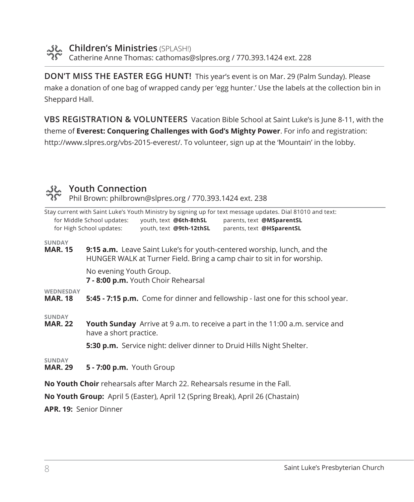**Children's Ministries** (SPLASH!) Catherine Anne Thomas: cathomas@slpres.org / 770.393.1424 ext. 228

**DON'T MISS THE EASTER EGG HUNT!** This year's event is on Mar. 29 (Palm Sunday). Please make a donation of one bag of wrapped candy per 'egg hunter.' Use the labels at the collection bin in Sheppard Hall.

**VBS REGISTRATION & VOLUNTEERS** Vacation Bible School at Saint Luke's is June 8-11, with the theme of **Everest: Conquering Challenges with God's Mighty Power**. For info and registration: http://www.slpres.org/vbs-2015-everest/. To volunteer, sign up at the 'Mountain' in the lobby.



## **Youth Connection**

Phil Brown: philbrown@slpres.org / 770.393.1424 ext. 238

|                                                                                                                                                   | Stay current with Saint Luke's Youth Ministry by signing up for text message updates. Dial 81010 and text:<br>for Middle School updates:<br>youth, text @6th-8thSL<br>parents, text @MSparentSL<br>for High School updates:<br>youth, text @9th-12thSL<br>parents, text @HSparentSL |  |
|---------------------------------------------------------------------------------------------------------------------------------------------------|-------------------------------------------------------------------------------------------------------------------------------------------------------------------------------------------------------------------------------------------------------------------------------------|--|
| <b>SUNDAY</b><br><b>MAR. 15</b>                                                                                                                   | <b>9:15 a.m.</b> Leave Saint Luke's for youth-centered worship, lunch, and the<br>HUNGER WALK at Turner Field. Bring a camp chair to sit in for worship.                                                                                                                            |  |
|                                                                                                                                                   | No evening Youth Group.<br>7 - 8:00 p.m. Youth Choir Rehearsal                                                                                                                                                                                                                      |  |
| <b>WEDNESDAY</b><br><b>MAR. 18</b>                                                                                                                | 5:45 - 7:15 p.m. Come for dinner and fellowship - last one for this school year.                                                                                                                                                                                                    |  |
| <b>SUNDAY</b><br><b>Youth Sunday</b> Arrive at 9 a.m. to receive a part in the 11:00 a.m. service and<br><b>MAR. 22</b><br>have a short practice. |                                                                                                                                                                                                                                                                                     |  |
|                                                                                                                                                   | 5:30 p.m. Service night: deliver dinner to Druid Hills Night Shelter.                                                                                                                                                                                                               |  |
| <b>SUNDAY</b><br><b>MAR. 29</b>                                                                                                                   | 5 - 7:00 p.m. Youth Group                                                                                                                                                                                                                                                           |  |
|                                                                                                                                                   | <b>No Youth Choir</b> rehearsals after March 22. Rehearsals resume in the Fall.                                                                                                                                                                                                     |  |

**No Youth Group:** April 5 (Easter), April 12 (Spring Break), April 26 (Chastain)

**APR. 19:** Senior Dinner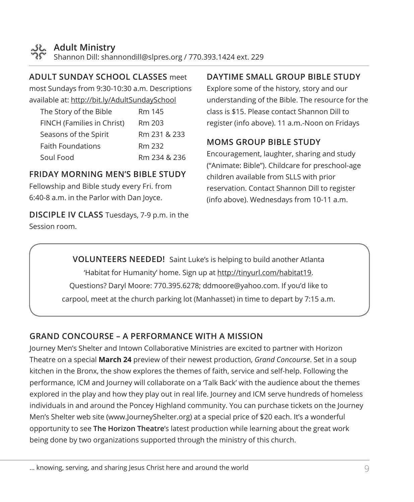

#### **ADULT SUNDAY SCHOOL CLASSES** meet

most Sundays from 9:30-10:30 a.m. Descriptions available at: http://bit.ly/AdultSundaySchool

| The Story of the Bible     | Rm 145       |
|----------------------------|--------------|
| FINCH (Families in Christ) | Rm 203       |
| Seasons of the Spirit      | Rm 231 & 233 |
| <b>Faith Foundations</b>   | Rm 232       |
| Soul Food                  | Rm 234 & 236 |

#### **FRIDAY MORNING MEN'S BIBLE STUDY**

Fellowship and Bible study every Fri. from 6:40-8 a.m. in the Parlor with Dan Joyce.

**DISCIPLE IV CLASS** Tuesdays, 7-9 p.m. in the Session room.

## **DAYTIME SMALL GROUP BIBLE STUDY**

Explore some of the history, story and our understanding of the Bible. The resource for the class is \$15. Please contact Shannon Dill to register (info above). 11 a.m.-Noon on Fridays

## **MOMS GROUP BIBLE STUDY**

Encouragement, laughter, sharing and study ("Animate: Bible"). Childcare for preschool-age children available from SLLS with prior reservation. Contact Shannon Dill to register (info above). Wednesdays from 10-11 a.m.

**VOLUNTEERS NEEDED!** Saint Luke's is helping to build another Atlanta 'Habitat for Humanity' home. Sign up at http://tinyurl.com/habitat19. Questions? Daryl Moore: 770.395.6278; ddmoore@yahoo.com. If you'd like to carpool, meet at the church parking lot (Manhasset) in time to depart by 7:15 a.m.

## **GRAND CONCOURSE – A PERFORMANCE WITH A MISSION**

Journey Men's Shelter and Intown Collaborative Ministries are excited to partner with Horizon Theatre on a special **March 24** preview of their newest production, *Grand Concourse*. Set in a soup kitchen in the Bronx, the show explores the themes of faith, service and self-help. Following the performance, ICM and Journey will collaborate on a 'Talk Back' with the audience about the themes explored in the play and how they play out in real life. Journey and ICM serve hundreds of homeless individuals in and around the Poncey Highland community. You can purchase tickets on the Journey Men's Shelter web site (www.JourneyShelter.org) at a special price of \$20 each. It's a wonderful opportunity to see **The Horizon Theatre**'s latest production while learning about the great work being done by two organizations supported through the ministry of this church.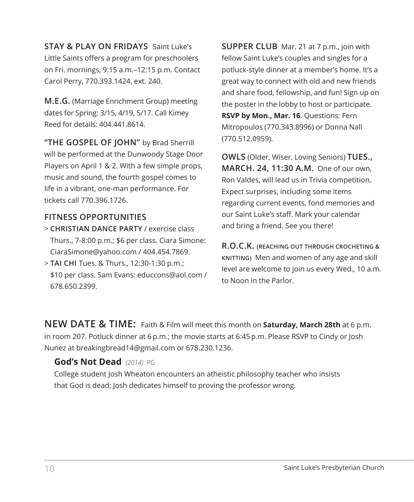**STAY & PLAY ON FRIDAYS** Saint Luke's Little Saints offers a program for preschoolers on Fri. mornings, 9:15 a.m.–12:15 p.m. Contact Carol Perry, 770.393.1424, ext. 240.

**M.E.G.** (Marriage Enrichment Group) meeting dates for Spring: 3/15, 4/19, 5/17. Call Kimey Reed for details: 404.441.8614.

**"THE GOSPEL OF JOHN"** by Brad Sherrill will be performed at the Dunwoody Stage Door Players on April 1 & 2. With a few simple props, music and sound, the fourth gospel comes to life in a vibrant, one-man performance. For tickets call 770.396.1726.

#### **FITNESS OPPORTUNITIES**

- > **CHRISTIAN DANCE PARTY** / exercise class Thurs., 7-8:00 p.m.; \$6 per class. Ciara Simone: CiaraSimone@yahoo.com / 404.454.7869.
- > **TAI CHI** Tues. & Thurs., 12:30-1:30 p.m.; \$10 per class. Sam Evans: educcons@aol.com / 678.650.2399.

**SUPPER CLUB** Mar. 21 at 7 p.m., join with fellow Saint Luke's couples and singles for a potluck-style dinner at a member's home. It's a great way to connect with old and new friends and share food, fellowship, and fun! Sign up on the poster in the lobby to host or participate. **RSVP by Mon., Mar. 16**. Questions: Fern Mitropoulos (770.343.8996) or Donna Nall (770.512.0959).

**OWLS** (Older, Wiser, Loving Seniors) **TUES., MARCH. 24, 11:30 A.M.** One of our own, Ron Valdes, will lead us in Trivia competition. Expect surprises, including some items regarding current events, fond memories and our Saint Luke's staff. Mark your calendar and bring a friend. See you there!

**R.O.C.K. (REACHING OUT THROUGH CROCHETING & KNITTING)** Men and women of any age and skill level are welcome to join us every Wed., 10 a.m. to Noon in the Parlor.

**NEW DATE & TIME:** Faith & Film will meet this month on **Saturday, March 28th** at 6 p.m. in room 207. Potluck dinner at 6 p.m.; the movie starts at 6:45 p.m. Please RSVP to Cindy or Josh Nunez at breakingbread14@gmail.com or 678.230.1236.

## **God's Not Dead** *(2014) PG*

 College student Josh Wheaton encounters an atheistic philosophy teacher who insists that God is dead; Josh dedicates himself to proving the professor wrong.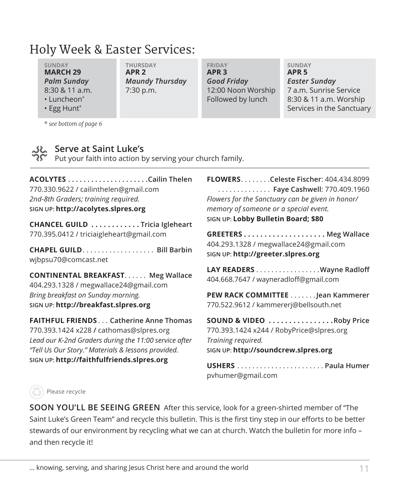# Holy Week & Easter Services:

**SUNDAY THURSDAY FRIDAY SUNDAY MARCH 29 APR 2 APR 3 APR 5** *Palm Sunday Maundy Thursday Good Friday Easter Sunday*

8:30 & 11 a.m. 7:30 p.m. 12:00 Noon Worship 7 a.m. Sunrise Service • Luncheon\* Followed by lunch 8:30 & 11 a.m. Worship • Egg Hunt\* Services in the Sanctuary in the Sanctuary in the Sanctuary in the Sanctuary in the Sanctuary in the Sanctuary in the Sanctuary in the Sanctuary in the Sanctuary in the Sanctuary in the Sanctuary in the Sanctua

*\* see bottom of page 6*

**Serve at Saint Luke's**

Put your faith into action by serving your church family.

**ACOLYTES. Cailin Thelen** 770.330.9622 / cailinthelen@gmail.com *2nd-8th Graders; training required.* **SIGN UP: http://acolytes.slpres.org**

**CHANCEL GUILD . . . . . . . . . . . Tricia Igleheart** 770.395.0412 / triciaigleheart@gmail.com

**CHAPEL GUILD**. . **Bill Barbin** wjbpsu70@comcast.net

**CONTINENTAL BREAKFAST...... Meg Wallace** 404.293.1328 / megwallace24@gmail.com *Bring breakfast on Sunday morning.* **SIGN UP: http://breakfast.slpres.org**

**FAITHFUL FRIENDS**. . **Catherine Anne Thomas** 770.393.1424 x228 **/** cathomas@slpres.org *Lead our K-2nd Graders during the 11:00 service after "Tell Us Our Story." Materials & lessons provided.* **SIGN UP: http://faithfulfriends.slpres.org**

**FLOWERS**. **Celeste Fischer**: 404.434.8099 . . **Faye Cashwell**: 770.409.1960 *Flowers for the Sanctuary can be given in honor/ memory of someone or a special event.* **SIGN UP: Lobby Bulletin Board; \$80**

**GREETERS . . . . . . . . . . . . . . . . . . . . Meg Wallace** 404.293.1328 / megwallace24@gmail.com **SIGN UP: http://greeter.slpres.org**

LAY READERS . . . . . . . . . . . . . . . . . Wayne Radloff 404.668.7647 / wayneradloff@gmail.com

**PEW RACK COMMITTEE** . . . . . . . Jean Kammerer 770.522.9612 / kammererj@bellsouth.net

**SOUND & VIDEO . . . . . . . . . . . . . . . Roby Price** 770.393.1424 x244 / RobyPrice@slpres.org *Training required.* **SIGN UP: http://soundcrew.slpres.org**

**USHERS**. **Paula Humer** pvhumer@gmail.com

#### Please recycle

**SOON YOU'LL BE SEEING GREEN** After this service, look for a green-shirted member of "The Saint Luke's Green Team" and recycle this bulletin. This is the first tiny step in our efforts to be better stewards of our environment by recycling what we can at church. Watch the bulletin for more info – and then recycle it!